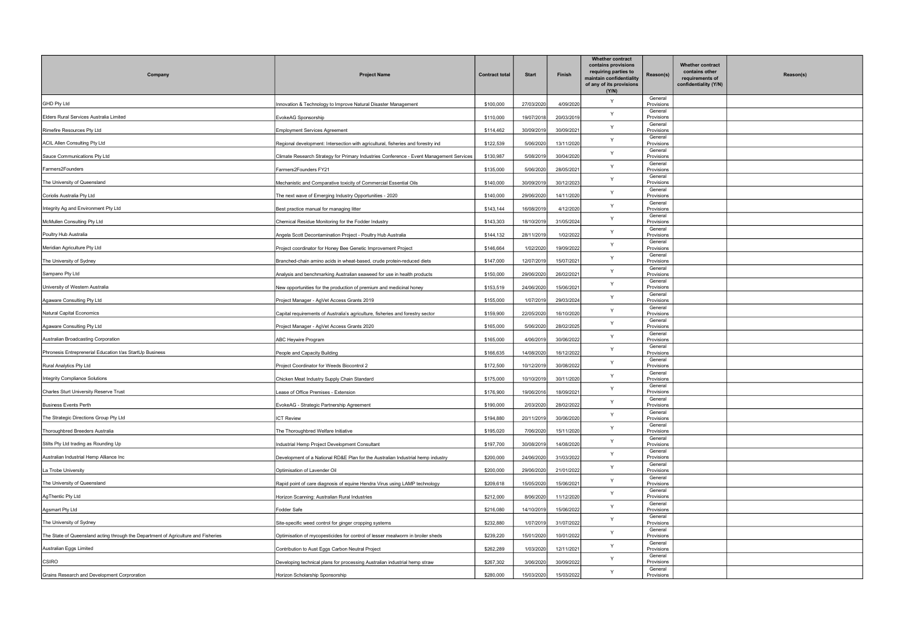| 3)           | Whether contract<br>contains other<br>requirements of<br>confidentiality (Y/N) | Reason(s) |
|--------------|--------------------------------------------------------------------------------|-----------|
| I<br>IS      |                                                                                |           |
| I<br>IS      |                                                                                |           |
| IS           |                                                                                |           |
| ıS           |                                                                                |           |
| I<br>ıS      |                                                                                |           |
| I<br>ıS      |                                                                                |           |
| I<br>IS      |                                                                                |           |
| IS           |                                                                                |           |
| I<br>IS      |                                                                                |           |
| I<br>IS      |                                                                                |           |
| I<br>IS      |                                                                                |           |
| IS           |                                                                                |           |
| I<br>ıS      |                                                                                |           |
| I<br>ıS      |                                                                                |           |
| ıS           |                                                                                |           |
| I<br>IS      |                                                                                |           |
| IS           |                                                                                |           |
| I<br>IS      |                                                                                |           |
| IS           |                                                                                |           |
| I<br>IS      |                                                                                |           |
| I<br>IS      |                                                                                |           |
| ıS           |                                                                                |           |
| I<br>IS      |                                                                                |           |
| IS           |                                                                                |           |
| I<br>S       |                                                                                |           |
| I<br>IS      |                                                                                |           |
| I<br>IS      |                                                                                |           |
| I<br>IS      |                                                                                |           |
| I<br>IS      |                                                                                |           |
| S<br>L       |                                                                                |           |
| IS           |                                                                                |           |
| ı<br>IS<br>l |                                                                                |           |
| IS<br>l      |                                                                                |           |
| IS<br>I      |                                                                                |           |
| IS<br>l      |                                                                                |           |
| IS           |                                                                                |           |
| IS           |                                                                                |           |

| Company                                                                            | <b>Project Name</b>                                                                     | <b>Contract total</b> | <b>Start</b> | Finish     | <b>Whether contract</b><br>contains provisions<br>requiring parties to<br>maintain confidentiality<br>of any of its provisions<br>(Y/N) | Reason(s)             | C( |
|------------------------------------------------------------------------------------|-----------------------------------------------------------------------------------------|-----------------------|--------------|------------|-----------------------------------------------------------------------------------------------------------------------------------------|-----------------------|----|
| <b>GHD Pty Ltd</b>                                                                 | Innovation & Technology to Improve Natural Disaster Management                          | \$100,000             | 27/03/2020   | 4/09/2020  | Y                                                                                                                                       | General<br>Provisions |    |
| Elders Rural Services Australia Limited                                            | EvokeAG Sponsorship                                                                     | \$110,000             | 19/07/2018   | 20/03/2019 | Y                                                                                                                                       | General<br>Provisions |    |
| Rimefire Resources Pty Ltd                                                         | <b>Employment Services Agreement</b>                                                    | \$114,462             | 30/09/2019   | 30/09/2021 | Y                                                                                                                                       | General<br>Provisions |    |
| ACIL Allen Consulting Pty Ltd                                                      | Regional development: Intersection with agricultural, fisheries and forestry ind        | \$122,539             | 5/06/2020    | 13/11/2020 | Y                                                                                                                                       | General<br>Provisions |    |
| Sauce Communications Pty Ltd                                                       | Climate Research Strategy for Primary Industries Conference - Event Management Services | \$130,987             | 5/08/2019    | 30/04/2020 | Y                                                                                                                                       | General<br>Provisions |    |
| Farmers2Founders                                                                   | Farmers2Founders FY21                                                                   | \$135,000             | 5/06/2020    | 28/05/2021 | Y                                                                                                                                       | General<br>Provisions |    |
| The University of Queensland                                                       | Mechanistic and Comparative toxicity of Commercial Essential Oils                       | \$140,000             | 30/09/2019   | 30/12/2023 | Y                                                                                                                                       | General<br>Provisions |    |
| Coriolis Australia Pty Ltd                                                         | The next wave of Emerging Industry Opportunities - 2020                                 | \$140,000             | 29/06/2020   | 14/11/2020 | Y                                                                                                                                       | General<br>Provisions |    |
| Integrity Ag and Environment Pty Ltd                                               | Best practice manual for managing litter                                                | \$143,144             | 16/08/2019   | 4/12/2020  | Y                                                                                                                                       | General<br>Provisions |    |
| McMullen Consulting Pty Ltd                                                        | Chemical Residue Monitoring for the Fodder Industry                                     | \$143,303             | 18/10/2019   | 31/05/2024 | Y                                                                                                                                       | General<br>Provisions |    |
| Poultry Hub Australia                                                              | Angela Scott Decontamination Project - Poultry Hub Australia                            | \$144,132             | 28/11/2019   | 1/02/2022  | Y                                                                                                                                       | General<br>Provisions |    |
| Meridian Agriculture Pty Ltd                                                       | Project coordinator for Honey Bee Genetic Improvement Project                           | \$146,664             | 1/02/2020    | 19/09/2022 | Y                                                                                                                                       | General<br>Provisions |    |
| The University of Sydney                                                           | Branched-chain amino acids in wheat-based, crude protein-reduced diets                  | \$147,000             | 12/07/2019   | 15/07/2021 | Y                                                                                                                                       | General<br>Provisions |    |
| Sampano Pty Ltd                                                                    | Analysis and benchmarking Australian seaweed for use in health products                 | \$150,000             | 29/06/2020   | 26/02/2021 | Y                                                                                                                                       | General<br>Provisions |    |
| University of Western Australia                                                    | New opportunities for the production of premium and medicinal honey                     | \$153,519             | 24/06/2020   | 15/06/2021 | Y                                                                                                                                       | General<br>Provisions |    |
| Agaware Consulting Pty Ltd                                                         | Project Manager - AgVet Access Grants 2019                                              | \$155,000             | 1/07/2019    | 29/03/2024 | Y                                                                                                                                       | General<br>Provisions |    |
| Natural Capital Economics                                                          | Capital requirements of Australia's agriculture, fisheries and forestry sector          | \$159,900             | 22/05/2020   | 16/10/2020 | Y                                                                                                                                       | General<br>Provisions |    |
| Agaware Consulting Pty Ltd                                                         | Project Manager - AgVet Access Grants 2020                                              | \$165,000             | 5/06/2020    | 28/02/2025 | Y                                                                                                                                       | General<br>Provisions |    |
| Australian Broadcasting Corporation                                                | ABC Heywire Program                                                                     | \$165,000             | 4/06/2019    | 30/06/2022 | Y                                                                                                                                       | General<br>Provisions |    |
| Phronesis Entreprenerial Education t/as StartUp Business                           | People and Capacity Building                                                            | \$166,635             | 14/08/2020   | 16/12/2022 | Y                                                                                                                                       | General<br>Provisions |    |
| Rural Analytics Pty Ltd                                                            | Project Coordinator for Weeds Biocontrol 2                                              | \$172,500             | 10/12/2019   | 30/08/2022 | Y                                                                                                                                       | General<br>Provisions |    |
| <b>Integrity Compliance Solutions</b>                                              | Chicken Meat Industry Supply Chain Standard                                             | \$175,000             | 10/10/2019   | 30/11/2020 | Y                                                                                                                                       | General<br>Provisions |    |
| <b>Charles Sturt University Reserve Trust</b>                                      | Lease of Office Premises - Extension                                                    | \$176,900             | 19/06/2016   | 18/09/2021 | Y                                                                                                                                       | General<br>Provisions |    |
| <b>Business Events Perth</b>                                                       | EvokeAG - Strategic Partnership Agreement                                               | \$190,000             | 2/03/2020    | 28/02/2022 | Υ                                                                                                                                       | General<br>Provisions |    |
| The Strategic Directions Group Pty Ltd                                             | <b>ICT Review</b>                                                                       | \$194,880             | 20/11/2019   | 30/06/2020 | Y                                                                                                                                       | General<br>Provisions |    |
| Thoroughbred Breeders Australia                                                    | The Thoroughbred Welfare Initiative                                                     | \$195,020             | 7/06/2020    | 15/11/2020 | Y                                                                                                                                       | General<br>Provisions |    |
| Stilts Pty Ltd trading as Rounding Up                                              | Industrial Hemp Project Development Consultant                                          | \$197,700             | 30/08/2019   | 14/08/2020 | Υ                                                                                                                                       | General<br>Provisions |    |
| Australian Industrial Hemp Alliance Inc                                            | Development of a National RD&E Plan for the Australian Industrial hemp industry         | \$200,000             | 24/06/2020   | 31/03/2022 | Y                                                                                                                                       | General<br>Provisions |    |
| La Trobe University                                                                | Optimisation of Lavender Oil                                                            | \$200,000             | 29/06/2020   | 21/01/2022 | Y                                                                                                                                       | General<br>Provisions |    |
| The University of Queensland                                                       | Rapid point of care diagnosis of equine Hendra Virus using LAMP technology              | \$209,618             | 15/05/2020   | 15/06/2021 | Y                                                                                                                                       | General<br>Provisions |    |
| AgThentic Pty Ltd                                                                  | Horizon Scanning: Australian Rural Industries                                           | \$212,000             | 8/06/2020    | 11/12/2020 | Y                                                                                                                                       | General<br>Provisions |    |
| <b>Agsmart Pty Ltd</b>                                                             | Fodder Safe                                                                             | \$216,080             | 14/10/2019   | 15/06/2022 | Y                                                                                                                                       | General<br>Provisions |    |
| The University of Sydney                                                           | Site-specific weed control for ginger cropping systems                                  | \$232,880             | 1/07/2019    | 31/07/2022 | Y                                                                                                                                       | General<br>Provisions |    |
| The State of Queensland acting through the Department of Agriculture and Fisheries | Optimisation of mycopesticides for control of lesser mealworm in broiler sheds          | \$239,220             | 15/01/2020   | 10/01/2022 | Y                                                                                                                                       | General<br>Provisions |    |
| Australian Eggs Limited                                                            | Contribution to Aust Eggs Carbon Neutral Project                                        | \$262,289             | 1/03/2020    | 12/11/2021 | Y                                                                                                                                       | General<br>Provisions |    |
| CSIRO                                                                              | Developing technical plans for processing Australian industrial hemp straw              | \$267,302             | 3/06/2020    | 30/09/2022 | Y                                                                                                                                       | General<br>Provisions |    |
| Grains Research and Development Corproration                                       | Horizon Scholarship Sponsorship                                                         | \$280,000             | 15/03/2020   | 15/03/2022 | Y                                                                                                                                       | General<br>Provisions |    |